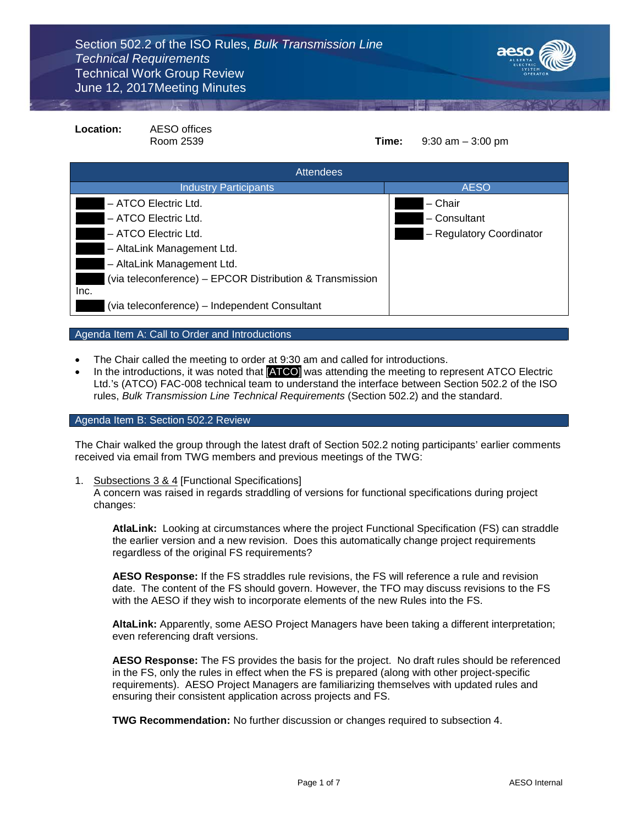

**Location:** AESO offices **Time:** 9:30 am – 3:00 pm Attendees **Industry Participants** AESO - ATCO Electric Ltd. - ATCO Electric Ltd. - ATCO Electric Ltd. - AltaLink Management Ltd. - AltaLink Management Ltd. (via teleconference) – EPCOR Distribution & Transmission Inc. \_\_\_\_\_ (via teleconference) – Independent Consultant \_\_\_\_\_ – Chair \_\_\_\_\_ – Consultant - Regulatory Coordinator

Agenda Item A: Call to Order and Introductions

- The Chair called the meeting to order at 9:30 am and called for introductions.
- In the introductions, it was noted that **[ATCO]** was attending the meeting to represent ATCO Electric Ltd.'s (ATCO) FAC-008 technical team to understand the interface between Section 502.2 of the ISO rules, *Bulk Transmission Line Technical Requirements* (Section 502.2) and the standard.

## Agenda Item B: Section 502.2 Review

The Chair walked the group through the latest draft of Section 502.2 noting participants' earlier comments received via email from TWG members and previous meetings of the TWG:

1. Subsections 3 & 4 [Functional Specifications]

A concern was raised in regards straddling of versions for functional specifications during project changes:

**AtlaLink:** Looking at circumstances where the project Functional Specification (FS) can straddle the earlier version and a new revision. Does this automatically change project requirements regardless of the original FS requirements?

**AESO Response:** If the FS straddles rule revisions, the FS will reference a rule and revision date. The content of the FS should govern. However, the TFO may discuss revisions to the FS with the AESO if they wish to incorporate elements of the new Rules into the FS.

**AltaLink:** Apparently, some AESO Project Managers have been taking a different interpretation; even referencing draft versions.

**AESO Response:** The FS provides the basis for the project. No draft rules should be referenced in the FS, only the rules in effect when the FS is prepared (along with other project-specific requirements). AESO Project Managers are familiarizing themselves with updated rules and ensuring their consistent application across projects and FS.

**TWG Recommendation:** No further discussion or changes required to subsection 4.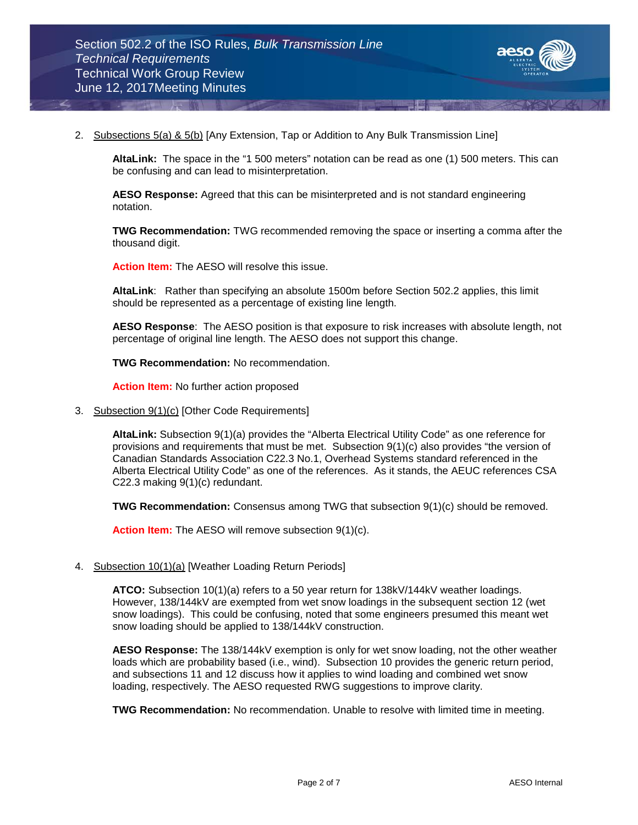

2. Subsections 5(a) & 5(b) [Any Extension, Tap or Addition to Any Bulk Transmission Line]

**AltaLink:** The space in the "1 500 meters" notation can be read as one (1) 500 meters. This can be confusing and can lead to misinterpretation.

**AESO Response:** Agreed that this can be misinterpreted and is not standard engineering notation.

**TWG Recommendation:** TWG recommended removing the space or inserting a comma after the thousand digit.

**Action Item:** The AESO will resolve this issue.

**AltaLink**: Rather than specifying an absolute 1500m before Section 502.2 applies, this limit should be represented as a percentage of existing line length.

**AESO Response**: The AESO position is that exposure to risk increases with absolute length, not percentage of original line length. The AESO does not support this change.

**TWG Recommendation:** No recommendation.

**Action Item:** No further action proposed

3. Subsection 9(1)(c) [Other Code Requirements]

**AltaLink:** Subsection 9(1)(a) provides the "Alberta Electrical Utility Code" as one reference for provisions and requirements that must be met. Subsection 9(1)(c) also provides "the version of Canadian Standards Association C22.3 No.1, Overhead Systems standard referenced in the Alberta Electrical Utility Code" as one of the references. As it stands, the AEUC references CSA C22.3 making 9(1)(c) redundant.

**TWG Recommendation:** Consensus among TWG that subsection 9(1)(c) should be removed.

**Action Item:** The AESO will remove subsection 9(1)(c).

4. Subsection 10(1)(a) [Weather Loading Return Periods]

**ATCO:** Subsection 10(1)(a) refers to a 50 year return for 138kV/144kV weather loadings. However, 138/144kV are exempted from wet snow loadings in the subsequent section 12 (wet snow loadings). This could be confusing, noted that some engineers presumed this meant wet snow loading should be applied to 138/144kV construction.

**AESO Response:** The 138/144kV exemption is only for wet snow loading, not the other weather loads which are probability based (i.e., wind). Subsection 10 provides the generic return period, and subsections 11 and 12 discuss how it applies to wind loading and combined wet snow loading, respectively. The AESO requested RWG suggestions to improve clarity.

**TWG Recommendation:** No recommendation. Unable to resolve with limited time in meeting.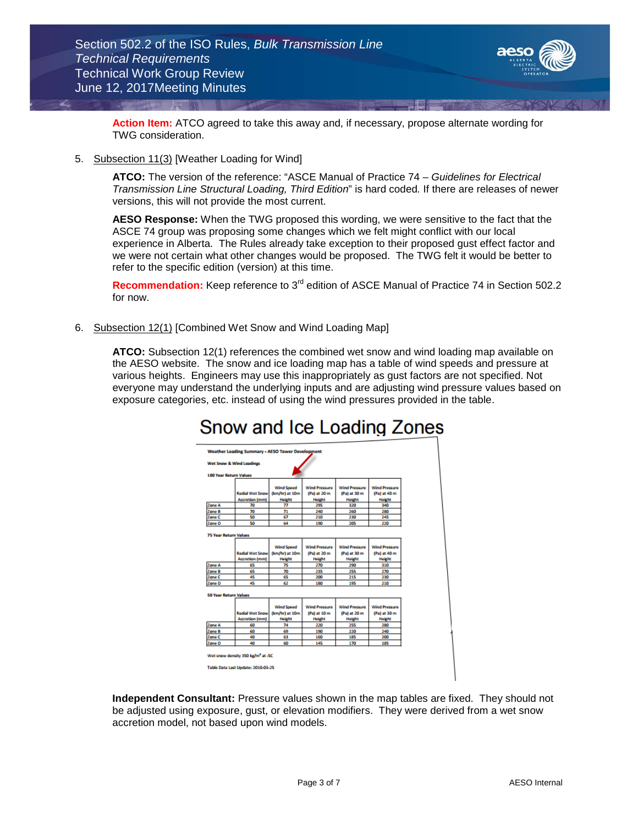

**Action Item:** ATCO agreed to take this away and, if necessary, propose alternate wording for TWG consideration.

5. Subsection 11(3) [Weather Loading for Wind]

**ATCO:** The version of the reference: "ASCE Manual of Practice 74 *– Guidelines for Electrical Transmission Line Structural Loading, Third Edition*" is hard coded*.* If there are releases of newer versions, this will not provide the most current.

**AESO Response:** When the TWG proposed this wording, we were sensitive to the fact that the ASCE 74 group was proposing some changes which we felt might conflict with our local experience in Alberta. The Rules already take exception to their proposed gust effect factor and we were not certain what other changes would be proposed. The TWG felt it would be better to refer to the specific edition (version) at this time.

**Recommendation:** Keep reference to 3<sup>rd</sup> edition of ASCE Manual of Practice 74 in Section 502.2 for now.

6. Subsection 12(1) [Combined Wet Snow and Wind Loading Map]

**ATCO:** Subsection 12(1) references the combined wet snow and wind loading map available on the AESO website. The snow and ice loading map has a table of wind speeds and pressure at various heights. Engineers may use this inappropriately as gust factors are not specified. Not everyone may understand the underlying inputs and are adjusting wind pressure values based on exposure categories, etc. instead of using the wind pressures provided in the table.



**Independent Consultant:** Pressure values shown in the map tables are fixed. They should not be adjusted using exposure, gust, or elevation modifiers. They were derived from a wet snow accretion model, not based upon wind models.

## Snow and Ice Loading Zones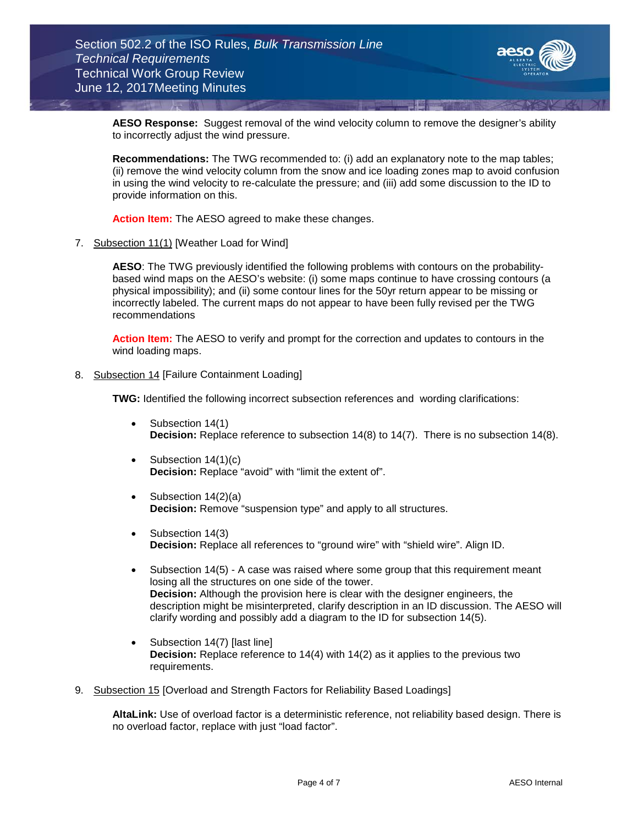

**AESO Response:** Suggest removal of the wind velocity column to remove the designer's ability to incorrectly adjust the wind pressure.

**Recommendations:** The TWG recommended to: (i) add an explanatory note to the map tables; (ii) remove the wind velocity column from the snow and ice loading zones map to avoid confusion in using the wind velocity to re-calculate the pressure; and (iii) add some discussion to the ID to provide information on this.

**Action Item:** The AESO agreed to make these changes.

7. Subsection 11(1) [Weather Load for Wind]

**AESO**: The TWG previously identified the following problems with contours on the probabilitybased wind maps on the AESO's website: (i) some maps continue to have crossing contours (a physical impossibility); and (ii) some contour lines for the 50yr return appear to be missing or incorrectly labeled. The current maps do not appear to have been fully revised per the TWG recommendations

**Action Item:** The AESO to verify and prompt for the correction and updates to contours in the wind loading maps.

8. Subsection 14 [Failure Containment Loading]

**TWG:** Identified the following incorrect subsection references and wording clarifications:

- Subsection 14(1) **Decision:** Replace reference to subsection 14(8) to 14(7). There is no subsection 14(8).
- Subsection 14(1)(c) **Decision:** Replace "avoid" with "limit the extent of".
- Subsection 14(2)(a) **Decision:** Remove "suspension type" and apply to all structures.
- Subsection 14(3) **Decision:** Replace all references to "ground wire" with "shield wire". Align ID.
- Subsection 14(5) A case was raised where some group that this requirement meant losing all the structures on one side of the tower. **Decision:** Although the provision here is clear with the designer engineers, the description might be misinterpreted, clarify description in an ID discussion. The AESO will clarify wording and possibly add a diagram to the ID for subsection 14(5).
- Subsection 14(7) [last line] **Decision:** Replace reference to 14(4) with 14(2) as it applies to the previous two requirements.
- 9. Subsection 15 [Overload and Strength Factors for Reliability Based Loadings]

**AltaLink:** Use of overload factor is a deterministic reference, not reliability based design. There is no overload factor, replace with just "load factor".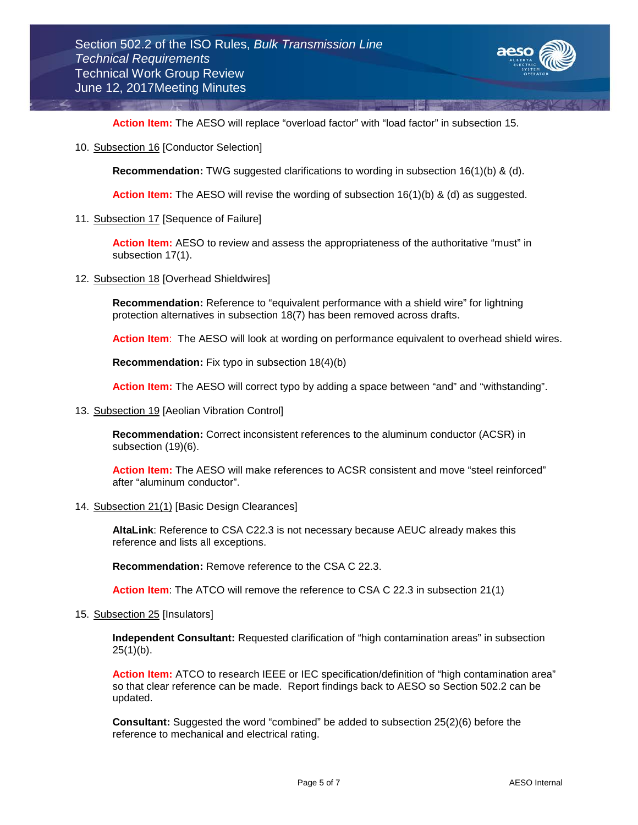

**Action Item:** The AESO will replace "overload factor" with "load factor" in subsection 15.

10. Subsection 16 [Conductor Selection]

**Recommendation:** TWG suggested clarifications to wording in subsection 16(1)(b) & (d).

Action Item: The AESO will revise the wording of subsection 16(1)(b) & (d) as suggested.

11. Subsection 17 [Sequence of Failure]

**Action Item:** AESO to review and assess the appropriateness of the authoritative "must" in subsection 17(1).

12. Subsection 18 [Overhead Shieldwires]

**Recommendation:** Reference to "equivalent performance with a shield wire" for lightning protection alternatives in subsection 18(7) has been removed across drafts.

**Action Item**: The AESO will look at wording on performance equivalent to overhead shield wires.

**Recommendation:** Fix typo in subsection 18(4)(b)

**Action Item:** The AESO will correct typo by adding a space between "and" and "withstanding".

13. Subsection 19 [Aeolian Vibration Control]

**Recommendation:** Correct inconsistent references to the aluminum conductor (ACSR) in subsection (19)(6).

**Action Item:** The AESO will make references to ACSR consistent and move "steel reinforced" after "aluminum conductor".

14. Subsection 21(1) [Basic Design Clearances]

**AltaLink**: Reference to CSA C22.3 is not necessary because AEUC already makes this reference and lists all exceptions.

**Recommendation:** Remove reference to the CSA C 22.3.

Action Item: The ATCO will remove the reference to CSA C 22.3 in subsection 21(1)

15. Subsection 25 [Insulators]

**Independent Consultant:** Requested clarification of "high contamination areas" in subsection  $25(1)(b)$ .

**Action Item:** ATCO to research IEEE or IEC specification/definition of "high contamination area" so that clear reference can be made. Report findings back to AESO so Section 502.2 can be updated.

**Consultant:** Suggested the word "combined" be added to subsection 25(2)(6) before the reference to mechanical and electrical rating.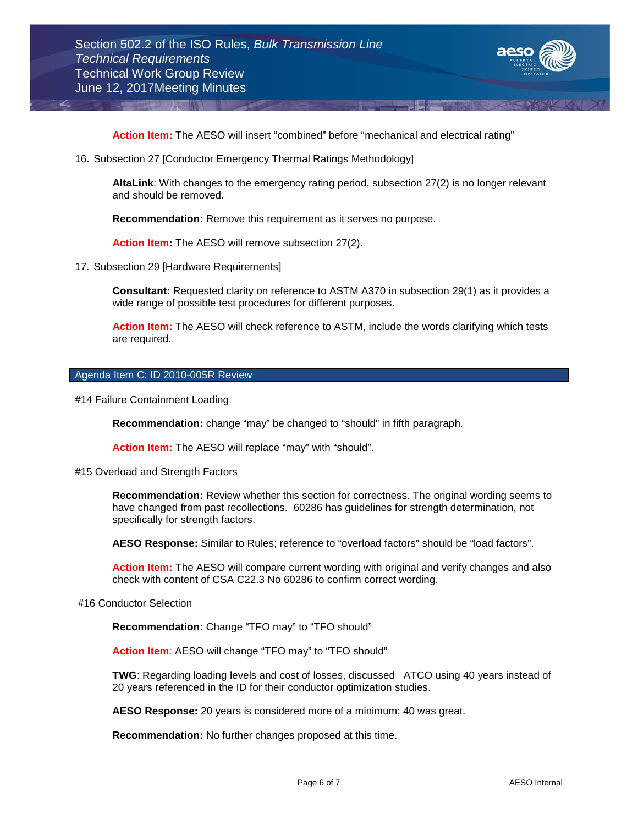

**Action Item:** The AESO will insert "combined" before "mechanical and electrical rating"

16. Subsection 27 [Conductor Emergency Thermal Ratings Methodology]

**AltaLink**: With changes to the emergency rating period, subsection 27(2) is no longer relevant and should be removed.

**Recommendation:** Remove this requirement as it serves no purpose.

**Action Item:** The AESO will remove subsection 27(2).

17. Subsection 29 [Hardware Requirements]

**Consultant:** Requested clarity on reference to ASTM A370 in subsection 29(1) as it provides a wide range of possible test procedures for different purposes.

**Action Item:** The AESO will check reference to ASTM, include the words clarifying which tests are required.

## Agenda Item C: ID 2010-005R Review

#14 Failure Containment Loading

**Recommendation:** change "may" be changed to "should" in fifth paragraph.

Action Item: The AESO will replace "may" with "should".

#15 Overload and Strength Factors

**Recommendation:** Review whether this section for correctness. The original wording seems to have changed from past recollections. 60286 has guidelines for strength determination, not specifically for strength factors.

**AESO Response:** Similar to Rules; reference to "overload factors" should be "load factors".

**Action Item:** The AESO will compare current wording with original and verify changes and also check with content of CSA C22.3 No 60286 to confirm correct wording.

## #16 Conductor Selection

**Recommendation:** Change "TFO may" to "TFO should"

**Action Item**: AESO will change "TFO may" to "TFO should"

**TWG**: Regarding loading levels and cost of losses, discussed ATCO using 40 years instead of 20 years referenced in the ID for their conductor optimization studies.

**AESO Response:** 20 years is considered more of a minimum; 40 was great.

**Recommendation:** No further changes proposed at this time.